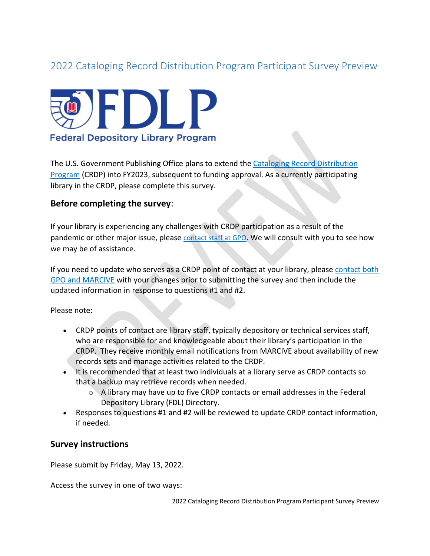# 2022 Cataloging Record Distribution Program Participant Survey Preview



The U.S. Government Publishing Office plans to extend the [Cataloging Record Distribution](https://www.fdlp.gov/cataloging-and-classification/cataloging-record-distribution-program)  [Program](https://www.fdlp.gov/cataloging-and-classification/cataloging-record-distribution-program) (CRDP) into FY2023, subsequent to funding approval. As a currently participating library in the CRDP, please complete this survey.

### **Before completing the survey**:

If your library is experiencing any challenges with CRDP participation as a result of the pandemic or other major issue, please [contact staff at GPO.](https://www.fdlp.gov/cataloging-and-classification/cataloging-record-distribution-program#guidance-questions-and-technical-assistance) We will consult with you to see how we may be of assistance.

If you need to update who serves as a CRDP point of contact at your library, please [contact both](https://www.fdlp.gov/cataloging-and-classification/cataloging-record-distribution-program#guidance-questions-and-technical-assistance)  [GPO and MARCIVE](https://www.fdlp.gov/cataloging-and-classification/cataloging-record-distribution-program#guidance-questions-and-technical-assistance) with your changes prior to submitting the survey and then include the updated information in response to questions #1 and #2.

Please note:

- CRDP points of contact are library staff, typically depository or technical services staff, who are responsible for and knowledgeable about their library's participation in the CRDP. They receive monthly email notifications from MARCIVE about availability of new records sets and manage activities related to the CRDP.
- It is recommended that at least two individuals at a library serve as CRDP contacts so that a backup may retrieve records when needed.
	- o A library may have up to five CRDP contacts or email addresses in the Federal Depository Library (FDL) Directory.
- Responses to questions #1 and #2 will be reviewed to update CRDP contact information, if needed.

#### **Survey instructions**

Please submit by Friday, May 13, 2022.

Access the survey in one of two ways:

2022 Cataloging Record Distribution Program Participant Survey Preview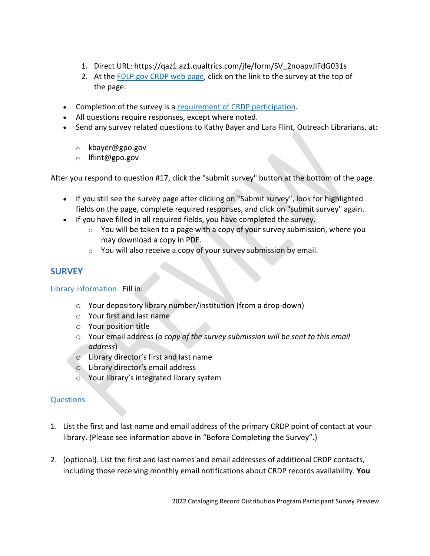- 1. Direct URL: https://qaz1.az1.qualtrics.com/jfe/form/SV\_2noapvJlFdG031s
- 2. At the [FDLP.gov CRDP web page,](https://www.fdlp.gov/catalogingandclassification/cataloging-record-distribution-program) click on the link to the survey at the top of the page.
- Completion of the survey is a [requirement of CRDP participation.](https://www.fdlp.gov/catalogingandclassification/cataloging-record-distribution-program#part_req)
- All questions require responses, except where noted.
- Send any survey related questions to Kathy Bayer and Lara Flint, Outreach Librarians, at:
	- o kbayer@gpo.gov
	- o lflint@gpo.gov

After you respond to question #17, click the "submit survey" button at the bottom of the page.

- If you still see the survey page after clicking on "Submit survey", look for highlighted fields on the page, complete required responses, and click on "submit survey" again.
- If you have filled in all required fields, you have completed the survey.
	- $\circ$  You will be taken to a page with a copy of your survey submission, where you may download a copy in PDF.
	- $\circ$  You will also receive a copy of your survey submission by email.

## **SURVEY**

Library information. Fill in:

- o Your depository library number/institution (from a drop-down)
- o Your first and last name
- o Your position title
- o Your email address (*a copy of the survey submission will be sent to this email address*)
- o Library director's first and last name
- o Library director's email address
- o Your library's integrated library system

#### **Questions**

- 1. List the first and last name and email address of the primary CRDP point of contact at your library. (Please see information above in "Before Completing the Survey".)
- 2. (optional). List the first and last names and email addresses of additional CRDP contacts, including those receiving monthly email notifications about CRDP records availability. **You**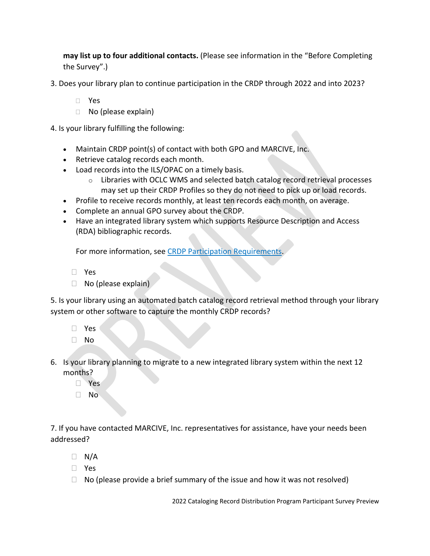**may list up to four additional contacts.** (Please see information in the "Before Completing the Survey".)

- 3. Does your library plan to continue participation in the CRDP through 2022 and into 2023?
	- Yes
	- □ No (please explain)

4. Is your library fulfilling the following:

- Maintain CRDP point(s) of contact with both GPO and MARCIVE, Inc.
- Retrieve catalog records each month.
- Load records into the ILS/OPAC on a timely basis.
	- $\circ$  Libraries with OCLC WMS and selected batch catalog record retrieval processes may set up their CRDP Profiles so they do not need to pick up or load records.
- Profile to receive records monthly, at least ten records each month, on average.
- Complete an annual GPO survey about the CRDP.
- Have an integrated library system which supports Resource Description and Access (RDA) bibliographic records.

For more information, see CRDP Participation Requirement.

- Yes
- $\Box$  No (please explain)

5. Is your library using an automated batch catalog record retrieval method through your library system or other software to capture the monthly CRDP records?

- Yes
- No
- 6. Is your library planning to migrate to a new integrated library system within the next 12 months?
	- **D** Yes
	- No

7. If you have contacted MARCIVE, Inc. representatives for assistance, have your needs been addressed?

- $\Box$  N/A
- Yes
- $\Box$  No (please provide a brief summary of the issue and how it was not resolved)

2022 Cataloging Record Distribution Program Participant Survey Preview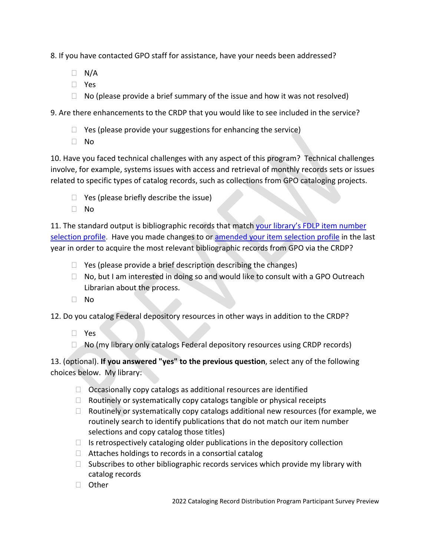8. If you have contacted GPO staff for assistance, have your needs been addressed?

- $\Box$  N/A
- Yes
- $\Box$  No (please provide a brief summary of the issue and how it was not resolved)

9. Are there enhancements to the CRDP that you would like to see included in the service?

- $\Box$  Yes (please provide your suggestions for enhancing the service)
- No

10. Have you faced technical challenges with any aspect of this program? Technical challenges involve, for example, systems issues with access and retrieval of monthly records sets or issues related to specific types of catalog records, such as collections from GPO cataloging projects.

- $\Box$  Yes (please briefly describe the issue)
- $\Box$  No

11. The standard output is bibliographic records that match your library's FDLP item number [selection profile.](https://selections.fdlp.gov/OA_HTML/gpolibItemLister.jsp) Have you made changes to or [amended your item selection profile](https://www.fdlp.gov/guidance/amending-your-library-s-selection-profile) in the last year in order to acquire the most relevant bibliographic records from GPO via the CRDP?

- $\Box$  Yes (please provide a brief description describing the changes)
- $\Box$  No, but I am interested in doing so and would like to consult with a GPO Outreach Librarian about the process.
- No

12. Do you catalog Federal depository resources in other ways in addition to the CRDP?

- Yes
- No (my library only catalogs Federal depository resources using CRDP records)

13. (optional). **If you answered "yes" to the previous question**, select any of the following choices below. My library:

- $\Box$  Occasionally copy catalogs as additional resources are identified
- $\Box$  Routinely or systematically copy catalogs tangible or physical receipts
- $\Box$  Routinely or systematically copy catalogs additional new resources (for example, we routinely search to identify publications that do not match our item number selections and copy catalog those titles)
- $\Box$  Is retrospectively cataloging older publications in the depository collection
- $\Box$  Attaches holdings to records in a consortial catalog
- $\Box$  Subscribes to other bibliographic records services which provide my library with catalog records
- □ Other